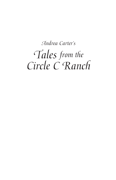## *Tales from the Circle C Ranch Andrea Carter's*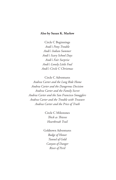### **Also by Susan K. Marlow**

Circle C Beginnings *Andi's Pony Trouble Andi's Indian Summer Andi's Scary School Days Andi's Fair Surprise Andi's Lonely Little Foal Andi's Circle C Christmas*

Circle C Adventures

*Andrea Carter and the Long Ride Home Andrea Carter and the Dangerous Decision Andrea Carter and the Family Secret Andrea Carter and the San Francisco Smugglers Andrea Carter and the Trouble with Treasure Andrea Carter and the Price of Truth*

> Circle C Milestones *Thick as Thieves Heartbreak Trail*

Goldtown Adventures *Badge of Honor Tunnel of Gold Canyon of Danger River of Peril*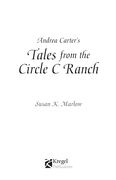# *Tales from the Circle C Ranch Andrea Carter's*

*Susan K. Marlow*

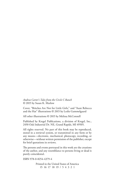#### *Andrea Carter's Tales from the Circle C Ranch* © 2015 by Susan K. Marlow

Cover, "Britches Are Not for Little Girls," and "Aunt Rebecca and the Hat" illustrations © 2015 by Leslie Gammelgaard

All other illustrations © 2015 by Melissa McConnell

Published by Kregel Publications, a division of Kregel, Inc., 2450 Oak Industrial Dr. NE, Grand Rapids, MI 49505.

All rights reserved. No part of this book may be reproduced, stored in a retrieval system, or transmitted in any form or by any means—electronic, mechanical, photocopy, recording, or otherwise—without written permission of the publisher, except for brief quotations in reviews.

The persons and events portrayed in this work are the creations of the author, and any resemblance to persons living or dead is purely coincidental.

ISBN 978-0-8254-4379-4

Printed in the United States of America 15 16 17 18 19 / 5 4 3 2 1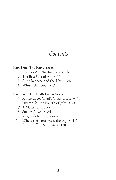## *Contents*

### **Part One: The Early Years**

- 1. Britches Are Not for Little Girls 9
- 2. The Best Gift of All 16
- 3. Aunt Rebecca and the Hat 26
- 4. White Christmas 31

### **Part Two: The In-Between Years**

- 5. Prince Loco, Chad's Crazy Horse 53
- 6. Hurrah for the Fourth of July! 60
- 7. A Matter of Honor 72
- 8. Snakes Alive! 84
- 9. Virginia's Riding Lesson 96
- 10. Where the Trees Meet the Bay  $\cdot$  115
- 11. Adiós, Jeffrey Sullivan 130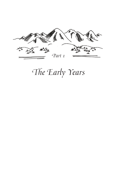

## *The Early Years*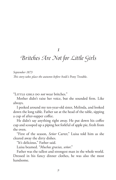*1*

## *Britches Are Not for Little Girls*

*September 1873 This story takes place the autumn before* Andi's Pony Trouble.

"Little girls do *not* wear britches."

Mother didn't raise her voice, but she sounded firm. Like always.

I peeked around my ten-year-old sister, Melinda, and looked down the long table. Father sat at the head of the table, sipping a cup of after-supper coffee.

He didn't say anything right away. He put down his coffee cup and scooped up a piping hot forkful of apple pie, fresh from the oven.

"First of the season, *Señor* Carter," Luisa told him as she cleared away the dirty dishes.

"It's delicious," Father said.

Luisa beamed. "*Muchas gracias, señor*."

Father was the tallest and strongest man in the whole world. Dressed in his fancy dinner clothes, he was also the most handsome.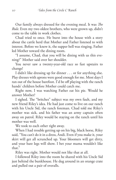Our family always dressed for the evening meal. It was *The Rule*. Even my two oldest brothers, who were grown up, didn't come to the table in work clothes.

Chad tried to once. He burst into the house with a story about the cattle herd that Mother and Father listened to with interest. Before we knew it, the supper bell was ringing. Father led Mother toward the dining room.

"I assume, Chad, that you will be dining with us this evening?" Mother said over her shoulder.

You never saw a twenty-year-old race so fast upstairs to change!

I didn't like dressing up for dinner . . . or for anything else. Play dresses with aprons were good enough for me. Most days I ran out of the house barefoot. I'd be off playing with the ranch hands' children before Mother could catch me.

Right now, I was watching Father eat his pie. Would he answer Mother?

I sighed. The "britches" subject was my own fault, and my new friend Riley's idea. He had just come to live on our ranch with his Uncle Sid, the ranch foreman. Chad told me Riley's mother was sick, and his father was an army captain often away on patrol. Riley would be staying on the ranch until his mother was well.

We took to each other right away.

When I had trouble getting up on his big, black horse, Riley said, "You can't do it in a dress, Andi. Even if you make it, your skirt will get all scrunched up. Your bloomers will get dirty, and your bare legs will show. I bet your mama wouldn't like that."

Riley was right. Mother would not like that at all.

I followed Riley into the room he shared with his Uncle Sid just behind the bunkhouse. He dug around in an orange crate and pulled out a pair of overalls.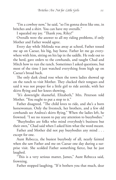"I'm a cowboy now," he said, "so I'm gonna dress like one, in britches and a shirt. You can have my overalls."

I squealed my joy. "Thank you, Riley!"

Overalls were the answer to all my riding problems, if only Mother and Father would agree.

Every day while Melinda was away at school, Father tossed me up on Caesar, his big, bay horse. Father let me go everywhere with him, sitting on his lap in the saddle. He rode out to the herd, gave orders to the cowhands, and taught Chad and Mitch how to run the ranch. Sometimes I asked questions, but most of the time I just watched everything from high up on Caesar's broad back.

The only dark cloud rose when the town ladies showed up on the ranch to visit Mother. They clucked their tongues and said it was not proper for a little girl to ride astride, with her skirts flying and her knees showing.

"It's downright shameful, Elizabeth," Mrs. Peterson told Mother. "You ought to put a stop to it."

Father disagreed. "The child loves to ride, and she's a born horsewoman. Only the livestock, her brothers, and a few old cowhands see Andrea's skirts flying." When the ladies left, he frowned. "I see no reason to pay any attention to busybodies."

"Busybodies are folks who mind everybody's business but their own," Chad said when I asked him what the word meant.

Father and Mother did not pay busybodies any mind . . . except for one.

Aunt Rebecca, the busiest busybody of all, nearly fainted when she saw Father and me on Caesar one day during a surprise visit. She scolded Father something fierce, but he just laughed.

"This is a very serious matter, James," Aunt Rebecca said, frowning.

Father stopped laughing. "If it bothers you that much, dear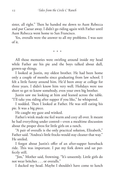sister, all right." Then he handed me down to Aunt Rebecca and put Caesar away. I didn't go riding again with Father until Aunt Rebecca went home to San Francisco.

Yes, overalls were the answer to all my problems. I was sure of it.

• • •

All those memories were swirling around inside my head while Father ate his pie and the boys talked about dull, grown-up things.

I looked at Justin, my oldest brother. He had been home only a couple of months since graduating from law school. I felt a little funny around him. He'd been away at college for three years. I didn't know him very well. Holidays were too short to get to know somebody, even your own big brother.

Justin saw me looking at him and leaned across the table. "I'll take you riding after supper if you like," he whispered.

I nodded. Then I looked at Father. He was still eating his pie. It was a big piece.

He caught my gaze and winked.

Father's wink made me feel warm and cozy all over. It meant he had everything under control—even a mealtime discussion about the proper dress for little girls on a ranch.

"A pair of overalls is the only practical solution, Elizabeth," Father said. "Andrea's little frocks would stay cleaner that way." He smiled.

I forgot about Justin's offer of an after-supper horseback ride. This was important. I put my fork down and sat perfectly still.

"Jim," Mother said, frowning. "It's unseemly. Little girls do not wear britches . . . or overalls."

I ducked my head. Maybe I shouldn't have come to lunch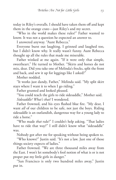today in Riley's overalls. I should have taken them off and kept them in the orange crate—just Riley's and my secret.

"Who in the world makes these rules?" Father wanted to know. It was not a question he expected an answer to.

I answered anyway. "Aunt Rebecca."

Everyone burst out laughing. I grinned and laughed too, but I didn't know why. It really wasn't funny. Aunt Rebecca thought up all the rules that made me miserable.

Father winked at me again. "If it were only that simple, sweetheart." He turned to Mother. "Skirts and horses do not mix, dear. Did you take one of Melinda's frocks, split the front and back, and sew it up for leggings like I asked?"

Mother nodded.

"It works just dandy, Father," Melinda said. "My split skirt stays where I want it to when I go riding."

Father grunted and looked pleased.

"You could teach the girls to ride sidesaddle," Mother said. *Sidesaddle? What's that?* I wondered.

Father frowned, and his eyes flashed blue fire. "My dear, I want *all* of our children to be safe, not just the boys. Riding sidesaddle is an outlandish, dangerous way for a young lady to ride a horse."

"Who made *that* rule?" I couldn't help asking. "That ladies have to ride that way?" I still didn't know what "sidesaddle" was.

Nobody got after me for speaking without being spoken to.

"Who knows?" Justin said. "It's not a law. Just one of those things society expects of ladies."

Father frowned. "We are three thousand miles away from the East. I won't let somebody's fool notion of what is or is not proper put my little girls in danger."

"San Francisco is only two hundred miles away," Justin put in.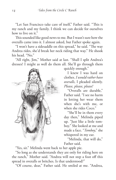"Let San Francisco take care of itself," Father said. "This is my ranch and my family. I think we can decide for ourselves how to live on it."

This sounded like good news to me. But I wasn't sure how the overalls came into it. I almost asked, but Father spoke again.

"I won't have a sidesaddle on this spread," he said. "The way Andrea rides, she'd break her neck riding that way." He shook his head. "No."

"All right, Jim," Mother said at last. "Shall I split Andrea's dresses? I might as well do them all. She'll go through them



quickly enough."

I knew I was hard on clothes. *I would rather have overalls*, I pleaded silently. *Please, please, please!*

"Overalls are durable," Father said. "I see no harm in letting her wear them when she's with me, or when she rides Coco."

"She'll be in them every day then," Melinda piped up. "Just like a little tomboy." She looked at me and made a face. "*Tomboy*," she whispered in my ear.

"Melinda, that will do," Father said.

"Yes, sir." Melinda went back to her apple pie.

"So long as she understands they are only for riding here on the ranch," Mother said. "Andrea will not step a foot off this spread in overalls or britches. Is that understood?"

"Of course, dear," Father said. He smiled at me. "Andrea,